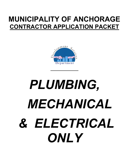# **MUNICIPALITY OF ANCHORAGE CONTRACTOR APPLICATION PACKET**



# *PLUMBING, MECHANICAL & ELECTRICAL ONLY*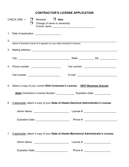### **CONTRACTOR'S LICENSE APPLICATION**

|    | CHECK ONE: $\checkmark$ $\Box$ Renewal $\Box$ New<br>$\Box$<br>Change of name or ownership                                                                                            |            |                                     |  |  |  |
|----|---------------------------------------------------------------------------------------------------------------------------------------------------------------------------------------|------------|-------------------------------------|--|--|--|
|    | 1. Date of application: _____________________                                                                                                                                         |            |                                     |  |  |  |
| 2. | Name of business (name as it appears on your state contractor's license)                                                                                                              |            |                                     |  |  |  |
|    |                                                                                                                                                                                       |            |                                     |  |  |  |
|    |                                                                                                                                                                                       |            |                                     |  |  |  |
|    |                                                                                                                                                                                       |            |                                     |  |  |  |
|    |                                                                                                                                                                                       |            |                                     |  |  |  |
|    | 5. Attach a copy of your current SOA Contractor's License. (NOT Business license)                                                                                                     |            |                                     |  |  |  |
|    | State Contractor's License Number: _____________________ Expiration Date: ____________<br>6. If applicable, attach a copy of your State of Alaska Electrical Administrator's License. |            |                                     |  |  |  |
|    | Admin Name:                                                                                                                                                                           | License #: |                                     |  |  |  |
|    |                                                                                                                                                                                       |            |                                     |  |  |  |
| 7. | If applicable, attach a copy of your State of Alaska Mechanical Administrator's License.                                                                                              |            |                                     |  |  |  |
|    | Admin Name: ______________________________                                                                                                                                            |            | License #: ________________________ |  |  |  |
|    | Expiration Date: ____________________________                                                                                                                                         |            |                                     |  |  |  |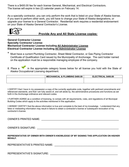There is a \$400.00 fee for each license General, Mechanical, and Electrical Contractors. The license will expire in two (2) calendar years on February 14.

As a specialty contractor, you can only perform the work that is listed on your State of Alaska license. If you want to perform other work, you will have to change your State of Alaska designations, or upgrade your license to a General Contractor. Residential work requires a residential endorsement on your State of Alaska General Contractor's License.



#### **Provide Any and All State License copies:**

**General Contractor License Specialty Contractor License Mechanical Contractor License including All Administrator License Electrical Contractor License including All Administrator License**

Must have a current Plumbing Contractor, Sheet Metal Contractor, or Gas Piping Contractor Certificate of Qualification Card issued by the Municipality of Anchorage. The card holder named on the application must be a responsible managing employee of the company.

8. Place a **in** the appropriate category boxes below for all license you hold with the State of Alaska Occupational Licensing department.

| <b>MECHANICAL &amp; PLUMBING \$400.00</b> | ELECTRICAL \$400.00 |
|-------------------------------------------|---------------------|
|                                           |                     |
|                                           |                     |

I CERTIFY that I have in my possession a copy of the currently applicable code, together with pertinent amendments and referenced standards, and that I am fully aware of, and will abide by, the administrative procedures and functions as set forth in the Anchorage ordinance and relevant codes.

I FURTHER AGREE as a condition of licensing, to comply with all requirements, rules, and regulations of all Municipal Building Codes which apply to the activities mentioned in this application.

I HEREBY CERTIFY that the above information is true and complete to the best of my knowledge. I understand that any false or misleading information may result in failure to obtain a contractor's license or subsequent revocation of my contractor's license.

OWNER'S PRINTED NAME: **WE are all that the set of the set of the set of the set of the set of the set of the set of the set of the set of the set of the set of the set of the set of the set of the set of the set of the set** 

OWNER'S SIGNATURE: **WE are all that the set of the set of the set of the set of the set of the set of the set of the set of the set of the set of the set of the set of the set of the set of the set of the set of the set of** 

**REPRESENTATIVE OF OWNER WITH OWNER'S KNOWLEDGE OF MY SIGNING THIS APPLICATION ON HIS/HER BEHALF.**

REPRESENTATIVE'S PRINTED NAME:

REPRESENTATIVE'S SIGNATURE:  $\blacksquare$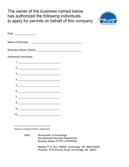# The owner of the business named below has authorized the following individuals to apply for permits on behalf of this company:



| Date: __________________                                                                                                                                                                                                                                                                                                                                                                                                        |  |  |  |  |  |  |
|---------------------------------------------------------------------------------------------------------------------------------------------------------------------------------------------------------------------------------------------------------------------------------------------------------------------------------------------------------------------------------------------------------------------------------|--|--|--|--|--|--|
|                                                                                                                                                                                                                                                                                                                                                                                                                                 |  |  |  |  |  |  |
|                                                                                                                                                                                                                                                                                                                                                                                                                                 |  |  |  |  |  |  |
| Authorized Individuals:                                                                                                                                                                                                                                                                                                                                                                                                         |  |  |  |  |  |  |
|                                                                                                                                                                                                                                                                                                                                                                                                                                 |  |  |  |  |  |  |
| 2.                                                                                                                                                                                                                                                                                                                                                                                                                              |  |  |  |  |  |  |
| $\begin{array}{c c c c c} \hline \rule{0pt}{8ex} \rule{0pt}{8ex} \rule{0pt}{8ex} \rule{0pt}{8ex} \rule{0pt}{8ex} \rule{0pt}{8ex} \rule{0pt}{8ex} \rule{0pt}{8ex} \rule{0pt}{8ex} \rule{0pt}{8ex} \rule{0pt}{8ex} \rule{0pt}{8ex} \rule{0pt}{8ex} \rule{0pt}{8ex} \rule{0pt}{8ex} \rule{0pt}{8ex} \rule{0pt}{8ex} \rule{0pt}{8ex} \rule{0pt}{8ex} \rule{0pt}{8ex} \rule{0pt}{8ex} \rule{0pt}{8ex} \rule{0$                       |  |  |  |  |  |  |
| 4.                                                                                                                                                                                                                                                                                                                                                                                                                              |  |  |  |  |  |  |
|                                                                                                                                                                                                                                                                                                                                                                                                                                 |  |  |  |  |  |  |
| $6. \qquad \qquad \overbrace{ \qquad \qquad }$                                                                                                                                                                                                                                                                                                                                                                                  |  |  |  |  |  |  |
|                                                                                                                                                                                                                                                                                                                                                                                                                                 |  |  |  |  |  |  |
| 8.                                                                                                                                                                                                                                                                                                                                                                                                                              |  |  |  |  |  |  |
| $9. \qquad \qquad 9. \qquad \qquad 9. \qquad \qquad 9. \qquad \qquad 9. \qquad \qquad 9. \qquad \qquad 9. \qquad \qquad 9. \qquad \qquad 9. \qquad \qquad 9. \qquad \qquad 9. \qquad \qquad 9. \qquad \qquad 9. \qquad \qquad 9. \qquad \qquad 9. \qquad \qquad 9. \qquad \qquad 9. \qquad \qquad 9. \qquad \qquad 3. \qquad \qquad 3. \qquad \qquad 3. \qquad \qquad 3. \qquad \qquad 3. \qquad \qquad 3. \qquad \qquad 3. \q$ |  |  |  |  |  |  |
|                                                                                                                                                                                                                                                                                                                                                                                                                                 |  |  |  |  |  |  |

Owner or Representative Signature

MAIL: Municipality of Anchorage Development Services Department Building Safety ATTN: LICENSING

> Mailing: P.O. Box 196650, Anchorage, AK 99519-6650 Physical: 4700 Elmore Road, Anchorage, AK 99507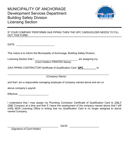

IF YOUR COMPANY PERFORMS GAS PIPING THEN THE GPC CARDHOLDER NEEDS TO FILL OUT THIS FORM

DATE: \_\_\_\_\_\_\_\_\_\_\_\_\_\_\_\_\_\_\_\_\_\_\_\_\_\_\_

This notice is to inform the Municipality of Anchorage, Building Safety Division,

Licensing Section that I \_\_\_\_\_\_\_\_\_\_\_\_\_\_\_\_\_\_\_\_\_\_\_\_\_\_\_\_\_\_\_ am assigning my (*Card Holders PRINTED Name*)

*GAS PIPING CONTRACTOR* Certificate of Qualification Card **GPC** to

\_\_\_\_\_\_\_\_\_\_\_\_\_\_\_\_\_\_\_\_\_\_\_\_\_\_\_\_\_\_\_\_\_\_\_\_\_\_\_\_\_\_\_\_\_\_\_\_\_\_\_\_\_\_\_\_\_\_\_\_\_\_\_\_\_\_\_\_\_\_\_\_ (*Company Name*)

and that I am a responsible managing employee of company named above and am on

above company's payroll.

Effective: \_\_\_\_\_\_\_\_\_\_\_\_\_\_\_\_\_\_\_\_\_\_\_\_\_.

I understand that I may assign my Plumbing Contractor Certificate of Qualification Card to *ONLY ONE* Company at a time and that if I leave the employment of the company named above that I will notify MOA Licensing Office in writing that my Qualification Card is no longer assigned to above named Company.

\_\_\_\_\_\_\_\_\_\_\_\_\_\_\_\_\_\_\_\_\_\_\_\_\_\_\_\_\_\_\_\_\_\_\_\_ DATE: \_\_\_\_\_\_\_\_\_\_\_\_\_\_\_\_\_\_\_\_\_

(*Signature of Card Holder*)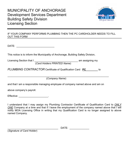## MUNICIPALITY OF ANCHORAGE Development Services Department Building Safety Division Licensing Section



#### IF YOUR COMPANY PERFORMS PLUMBING THEN THE PC CARDHOLDER NEEDS TO FILL OUT THIS FORM

DATE:  $\blacksquare$ 

This notice is to inform the Municipality of Anchorage, Building Safety Division,

Licensing Section that I \_\_\_\_\_\_\_\_\_\_\_\_\_\_\_\_\_\_\_\_\_\_\_\_\_\_\_\_\_\_\_ am assigning my (*Card Holders PRINTED Name*)

*PLUMBING CONTRACTOR* Certificate of Qualification Card **PC** to

\_\_\_\_\_\_\_\_\_\_\_\_\_\_\_\_\_\_\_\_\_\_\_\_\_\_\_\_\_\_\_\_\_\_\_\_\_\_\_\_\_\_\_\_\_\_\_\_\_\_\_\_\_\_\_\_\_\_\_\_\_\_\_\_\_\_\_\_\_\_\_\_ (*Company Name*)

and that I am a responsible managing employee of company named above and am on

above company's payroll.

Effective: \_\_\_\_\_\_\_\_\_\_\_\_\_\_\_\_\_\_\_\_\_.

I understand that I may assign my Plumbing Contractor Certificate of Qualification Card to *ONLY ONE* Company at a time and that if I leave the employment of the company named above that I will notify MOA Licensing Office in writing that my Qualification Card is no longer assigned to above named Company.

\_\_\_\_\_\_\_\_\_\_\_\_\_\_\_\_\_\_\_\_\_\_\_\_\_\_\_\_\_\_\_\_\_\_\_\_ DATE: \_\_\_\_\_\_\_\_\_\_\_\_\_\_

(*Signature of Card Holder*)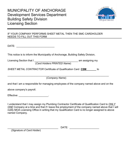

#### IF YOUR COMPANY PERFORMS SHEET METAL THEN THE SMC CARDHOLDER NEEDS TO FILL OUT THIS FORM

DATE: \_\_\_\_\_\_\_\_\_\_\_\_\_\_\_\_\_\_\_\_\_\_\_\_\_\_\_

This notice is to inform the Municipality of Anchorage, Building Safety Division,

Licensing Section that I \_\_\_\_\_\_\_\_\_\_\_\_\_\_\_\_\_\_\_\_\_\_\_\_\_\_\_\_\_\_\_ am assigning my (*Card Holders PRINTED Name*)

*SHEET METAL CONTRACTOR* Certificate of Qualification Card **CSM** to

\_\_\_\_\_\_\_\_\_\_\_\_\_\_\_\_\_\_\_\_\_\_\_\_\_\_\_\_\_\_\_\_\_\_\_\_\_\_\_\_\_\_\_\_\_\_\_\_\_\_\_\_\_\_\_\_\_\_\_\_\_\_\_\_\_\_\_\_\_\_\_\_ (*Company Name*)

and that I am a responsible for managing employees of the company named above and on the

above company's payroll.

Effective: \_\_\_\_\_\_\_\_\_\_\_\_\_\_\_\_\_\_\_\_\_\_\_\_\_.

I understand that I may assign my Plumbing Contractor Certificate of Qualification Card to *ONLY ONE* Company at a time and that if I leave the employment of the company named above that I will notify MOA Licensing Office in writing that my Qualification Card is no longer assigned to above named Company.

\_\_\_\_\_\_\_\_\_\_\_\_\_\_\_\_\_\_\_\_\_\_\_\_\_\_\_\_\_\_\_\_\_\_\_\_ DATE: \_\_\_\_\_\_\_\_\_\_\_\_\_\_\_\_\_\_\_\_\_

(*Signature of Card Holder*)